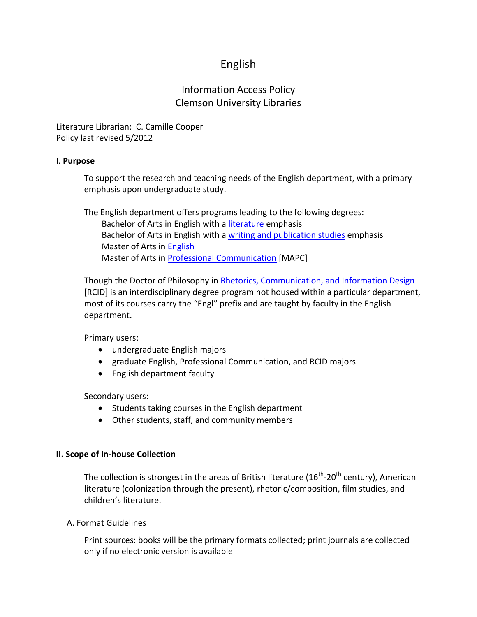# English

# Information Access Policy Clemson University Libraries

Literature Librarian: C. Camille Cooper Policy last revised 5/2012

## I. **Purpose**

To support the research and teaching needs of the English department, with a primary emphasis upon undergraduate study.

The English department offers programs leading to the following degrees: Bachelor of Arts in English with a [literature](http://www.clemson.edu/caah/english/undergraduate/index.html) emphasis Bachelor of Arts in English with a [writing and publication studies](http://www.clemson.edu/caah/english/undergraduate/index.html) emphasis Master of Arts in [English](http://www.clemson.edu/caah/english/graduate/ma_english/index.html) Master of Arts in [Professional Communication](http://www.clemson.edu/caah/english/graduate/mapc/index.html) [MAPC]

Though the Doctor of Philosophy in [Rhetorics, Communication, and Information Design](http://www.clemson.edu/caah/rcid/) [RCID] is an interdisciplinary degree program not housed within a particular department, most of its courses carry the "Engl" prefix and are taught by faculty in the English department.

Primary users:

- undergraduate English majors
- graduate English, Professional Communication, and RCID majors
- English department faculty

Secondary users:

- Students taking courses in the English department
- Other students, staff, and community members

## **II. Scope of In-house Collection**

The collection is strongest in the areas of British literature (16<sup>th</sup>-20<sup>th</sup> century), American literature (colonization through the present), rhetoric/composition, film studies, and children's literature.

#### A. Format Guidelines

Print sources: books will be the primary formats collected; print journals are collected only if no electronic version is available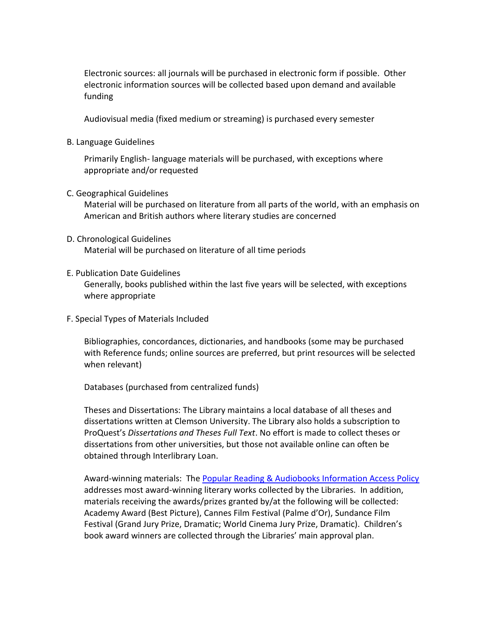Electronic sources: all journals will be purchased in electronic form if possible. Other electronic information sources will be collected based upon demand and available funding

Audiovisual media (fixed medium or streaming) is purchased every semester

B. Language Guidelines

Primarily English- language materials will be purchased, with exceptions where appropriate and/or requested

C. Geographical Guidelines

Material will be purchased on literature from all parts of the world, with an emphasis on American and British authors where literary studies are concerned

#### D. Chronological Guidelines Material will be purchased on literature of all time periods

E. Publication Date Guidelines

Generally, books published within the last five years will be selected, with exceptions where appropriate

F. Special Types of Materials Included

Bibliographies, concordances, dictionaries, and handbooks (some may be purchased with Reference funds; online sources are preferred, but print resources will be selected when relevant)

Databases (purchased from centralized funds)

Theses and Dissertations: The Library maintains a local database of all theses and dissertations written at Clemson University. The Library also holds a subscription to ProQuest's *Dissertations and Theses Full Text*. No effort is made to collect theses or dissertations from other universities, but those not available online can often be obtained through Interlibrary Loan.

Award-winning materials: Th[e Popular Reading & Audiobooks Information Access Policy](http://media.clemson.edu/library/infoAccess_Policies/popular.pdf) addresses most award-winning literary works collected by the Libraries. In addition, materials receiving the awards/prizes granted by/at the following will be collected: Academy Award (Best Picture), Cannes Film Festival (Palme d'Or), Sundance Film Festival (Grand Jury Prize, Dramatic; World Cinema Jury Prize, Dramatic). Children's book award winners are collected through the Libraries' main approval plan.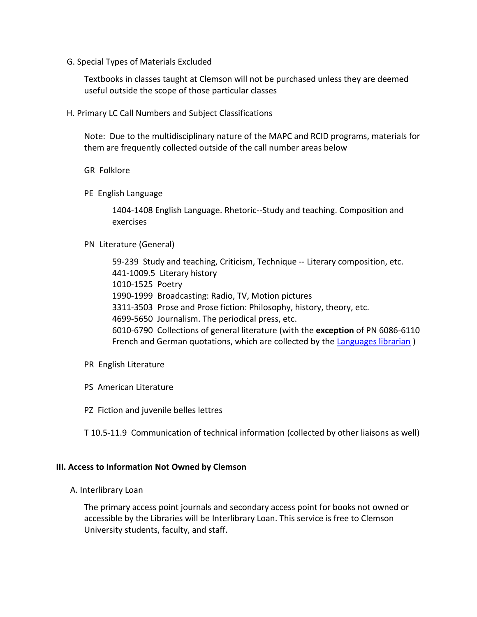G. Special Types of Materials Excluded

Textbooks in classes taught at Clemson will not be purchased unless they are deemed useful outside the scope of those particular classes

H. Primary LC Call Numbers and Subject Classifications

Note: Due to the multidisciplinary nature of the MAPC and RCID programs, materials for them are frequently collected outside of the call number areas below

- GR Folklore
- PE English Language

1404-1408 English Language. Rhetoric--Study and teaching. Composition and exercises

#### PN Literature (General)

59-239 Study and teaching, Criticism, Technique -- Literary composition, etc. 441-1009.5 Literary history 1010-1525 Poetry 1990-1999 Broadcasting: Radio, TV, Motion pictures 3311-3503 Prose and Prose fiction: Philosophy, history, theory, etc. 4699-5650 Journalism. The periodical press, etc. 6010-6790 Collections of general literature (with the **exception** of PN 6086-6110 French and German quotations, which are collected by the [Languages librarian](http://www.clemson.edu/library/reference/subjectLibrarians.html) )

- PR English Literature
- PS American Literature
- PZ Fiction and juvenile belles lettres

T 10.5-11.9 Communication of technical information (collected by other liaisons as well)

#### **III. Access to Information Not Owned by Clemson**

A. Interlibrary Loan

The primary access point journals and secondary access point for books not owned or accessible by the Libraries will be Interlibrary Loan. This service is free to Clemson University students, faculty, and staff.